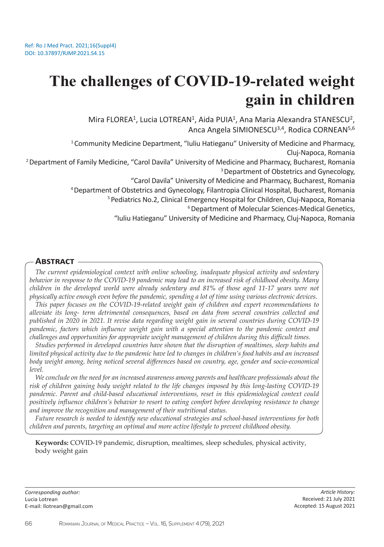# **The challenges of COVID-19-related weight gain in children**

Mira FLOREA<sup>1</sup>, Lucia LOTREAN<sup>1</sup>, Aida PUIA<sup>1</sup>, Ana Maria Alexandra STANESCU<sup>2</sup>, Anca Angela SIMIONESCU<sup>3,4</sup>, Rodica CORNEAN<sup>5,6</sup>

<sup>1</sup> Community Medicine Department, "Iuliu Hatieganu" University of Medicine and Pharmacy, Cluj-Napoca, Romania

<sup>2</sup> Department of Family Medicine, "Carol Davila" University of Medicine and Pharmacy, Bucharest, Romania <sup>3</sup> Department of Obstetrics and Gynecology,

"Carol Davila" University of Medicine and Pharmacy, Bucharest, Romania

<sup>4</sup>Department of Obstetrics and Gynecology, Filantropia Clinical Hospital, Bucharest, Romania

<sup>5</sup> Pediatrics No.2, Clinical Emergency Hospital for Children, Cluj-Napoca, Romania

6 Department of Molecular Sciences-Medical Genetics,

"Iuliu Hatieganu" University of Medicine and Pharmacy, Cluj-Napoca, Romania

## **Abstract**

*The current epidemiological context with online schooling, inadequate physical activity and sedentary behavior in response to the COVID-19 pandemic may lead to an increased risk of childhood obesity. Many children in the developed world were already sedentary and 81% of those aged 11-17 years were not physically active enough even before the pandemic, spending a lot of time using various electronic devices.* 

*This paper focuses on the COVID-19-related weight gain of children and expert recommendations to alleviate its long- term detrimental consequences, based on data from several countries collected and published in 2020 in 2021. It revise data regarding weight gain in several countries during COVID-19 pandemic, factors which influence weight gain with a special attention to the pandemic context and challenges and opportunities for appropriate weight management of children during this difficult times.*

*Studies performed in developed countries have shown that the disruption of mealtimes, sleep habits and limited physical activity due to the pandemic have led to changes in children's food habits and an increased body weight among, being noticed several differences based on country, age, gender and socio-economical level.*

*We conclude on the need for an increased awareness among parents and healthcare professionals about the risk of children gaining body weight related to the life changes imposed by this long-lasting COVID-19 pandemic. Parent and child-based educational interventions, reset in this epidemiological context could positively influence children's behavior to resort to eating comfort before developing resistance to change and improve the recognition and management of their nutritional status.*

*Future research is needed to identify new educational strategies and school-based interventions for both children and parents, targeting an optimal and more active lifestyle to prevent childhood obesity.*

**Keywords:** COVID-19 pandemic, disruption, mealtimes, sleep schedules, physical activity, body weight gain

*Corresponding author:*  Lucia Lotrean E-mail: llotrean@gmail.com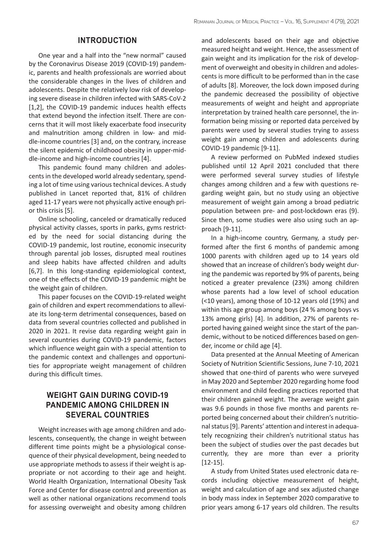## **INTRODUCTION**

One year and a half into the "new normal" caused by the Coronavirus Disease 2019 (COVID-19) pandemic, parents and health professionals are worried about the considerable changes in the lives of children and adolescents. Despite the relatively low risk of developing severe disease in children infected with SARS-CoV-2 [1,2], the COVID-19 pandemic induces health effects that extend beyond the infection itself. There are concerns that it will most likely exacerbate food insecurity and malnutrition among children in low- and middle-income countries [3] and, on the contrary, increase the silent epidemic of childhood obesity in upper-middle-income and high-income countries [4].

This pandemic found many children and adolescents in the developed world already sedentary, spending a lot of time using various technical devices. A study published in Lancet reported that, 81% of children aged 11-17 years were not physically active enough prior this crisis [5].

Online schooling, canceled or dramatically reduced physical activity classes, sports in parks, gyms restricted by the need for social distancing during the COVID-19 pandemic, lost routine, economic insecurity through parental job losses, disrupted meal routines and sleep habits have affected children and adults [6,7]. In this long-standing epidemiological context, one of the effects of the COVID-19 pandemic might be the weight gain of children.

This paper focuses on the COVID-19-related weight gain of children and expert recommendations to alleviate its long-term detrimental consequences, based on data from several countries collected and published in 2020 in 2021. It revise data regarding weight gain in several countries during COVID-19 pandemic, factors which influence weight gain with a special attention to the pandemic context and challenges and opportunities for appropriate weight management of children during this difficult times.

# **WEIGHT GAIN DURING COVID-19 PANDEMIC AMONG CHILDREN IN SEVERAL COUNTRIES**

Weight increases with age among children and adolescents, consequently, the change in weight between different time points might be a physiological consequence of their physical development, being needed to use appropriate methods to assess if their weight is appropriate or not according to their age and height. World Health Organization, International Obesity Task Force and Center for disease control and prevention as well as other national organizations recommend tools for assessing overweight and obesity among children

and adolescents based on their age and objective measured height and weight. Hence, the assessment of gain weight and its implication for the risk of development of overweight and obesity in children and adolescents is more difficult to be performed than in the case of adults [8]. Moreover, the lock down imposed during the pandemic decreased the possibility of objective measurements of weight and height and appropriate interpretation by trained health care personnel, the information being missing or reported data perceived by parents were used by several studies trying to assess weight gain among children and adolescents during COVID-19 pandemic [9-11].

A review performed on PubMed indexed studies published until 12 April 2021 concluded that there were performed several survey studies of lifestyle changes among children and a few with questions regarding weight gain, but no study using an objective measurement of weight gain among a broad pediatric population between pre- and post-lockdown eras (9). Since then, some studies were also using such an approach [9-11].

In a high-income country, Germany, a study performed after the first 6 months of pandemic among 1000 parents with children aged up to 14 years old showed that an increase of children's body weight during the pandemic was reported by 9% of parents, being noticed a greater prevalence (23%) among children whose parents had a low level of school education (<10 years), among those of 10-12 years old (19%) and within this age group among boys (24 % among boys vs 13% among girls) [4]. In addition, 27% of parents reported having gained weight since the start of the pandemic, without to be noticed differences based on gender, income or child age [4].

Data presented at the Annual Meeting of American Society of Nutrition Scientific Sessions, June 7-10, 2021 showed that one-third of parents who were surveyed in May 2020 and September 2020 regarding home food environment and child feeding practices reported that their children gained weight. The average weight gain was 9.6 pounds in those five months and parents reported being concerned about their children's nutritional status [9]. Parents' attention and interest in adequately recognizing their children's nutritional status has been the subject of studies over the past decades but currently, they are more than ever a priority [12-15].

A study from United States used electronic data records including objective measurement of height, weight and calculation of age and sex adjusted change in body mass index in September 2020 comparative to prior years among 6-17 years old children. The results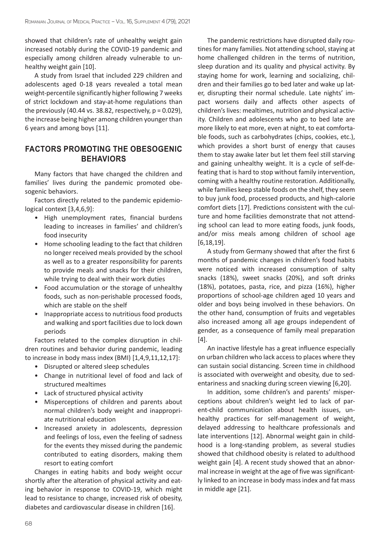showed that children's rate of unhealthy weight gain increased notably during the COVID-19 pandemic and especially among children already vulnerable to unhealthy weight gain [10].

A study from Israel that included 229 children and adolescents aged 0-18 years revealed a total mean weight-percentile significantly higher following 7 weeks of strict lockdown and stay-at-home regulations than the previously  $(40.44 \text{ vs. } 38.82, \text{ respectively, } p = 0.029)$ , the increase being higher among children younger than 6 years and among boys [11].

# **FACTORS PROMOTING THE OBESOGENIC BEHAVIORS**

Many factors that have changed the children and families' lives during the pandemic promoted obesogenic behaviors.

Factors directly related to the pandemic epidemiological context [3,4,6,9]:

- High unemployment rates, financial burdens leading to increases in families' and children's food insecurity
- Home schooling leading to the fact that children no longer received meals provided by the school as well as to a greater responsibility for parents to provide meals and snacks for their children, while trying to deal with their work duties
- Food accumulation or the storage of unhealthy foods, such as non-perishable processed foods, which are stable on the shelf
- Inappropriate access to nutritious food products and walking and sport facilities due to lock down periods

Factors related to the complex disruption in children routines and behavior during pandemic, leading to increase in body mass index (BMI) [1,4,9,11,12,17]:

- Disrupted or altered sleep schedules
- Change in nutritional level of food and lack of structured mealtimes
- Lack of structured physical activity
- Misperceptions of children and parents about normal children's body weight and inappropriate nutritional education
- Increased anxiety in adolescents, depression and feelings of loss, even the feeling of sadness for the events they missed during the pandemic contributed to eating disorders, making them resort to eating comfort

Changes in eating habits and body weight occur shortly after the alteration of physical activity and eating behavior in response to COVID-19, which might lead to resistance to change, increased risk of obesity, diabetes and cardiovascular disease in children [16].

The pandemic restrictions have disrupted daily routines for many families. Not attending school, staying at home challenged children in the terms of nutrition, sleep duration and its quality and physical activity. By staying home for work, learning and socializing, children and their families go to bed later and wake up later, disrupting their normal schedule. Late nights' impact worsens daily and affects other aspects of children's lives: mealtimes, nutrition and physical activity. Children and adolescents who go to bed late are more likely to eat more, even at night, to eat comfortable foods, such as carbohydrates (chips, cookies, etc.), which provides a short burst of energy that causes them to stay awake later but let them feel still starving and gaining unhealthy weight. It is a cycle of self-defeating that is hard to stop without family intervention, coming with a healthy routine restoration. Additionally, while families keep stable foods on the shelf, they seem to buy junk food, processed products, and high-calorie comfort diets [17]. Predictions consistent with the culture and home facilities demonstrate that not attending school can lead to more eating foods, junk foods, and/or miss meals among children of school age [6,18,19].

A study from Germany showed that after the first 6 months of pandemic changes in children's food habits were noticed with increased consumption of salty snacks (18%), sweet snacks (20%), and soft drinks (18%), potatoes, pasta, rice, and pizza (16%), higher proportions of school-age children aged 10 years and older and boys being involved in these behaviors. On the other hand, consumption of fruits and vegetables also increased among all age groups independent of gender, as a consequence of family meal preparation  $[4]$ .

An inactive lifestyle has a great influence especially on urban children who lack access to places where they can sustain social distancing. Screen time in childhood is associated with overweight and obesity, due to sedentariness and snacking during screen viewing [6,20].

In addition, some children's and parents' misperceptions about children's weight led to lack of parent-child communication about health issues, unhealthy practices for self-management of weight, delayed addressing to healthcare professionals and late interventions [12]. Abnormal weight gain in childhood is a long-standing problem, as several studies showed that childhood obesity is related to adulthood weight gain [4]. A recent study showed that an abnormal increase in weight at the age of five was significantly linked to an increase in body mass index and fat mass in middle age [21].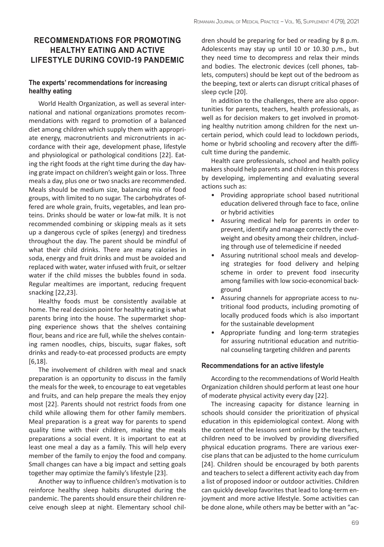# **RECOMMENDATIONS FOR PROMOTING HEALTHY EATING AND ACTIVE LIFESTYLE DURING COVID-19 PANDEMIC**

#### **The experts' recommendations for increasing healthy eating**

World Health Organization, as well as several international and national organizations promotes recommendations with regard to promotion of a balanced diet among children which supply them with appropriate energy, macronutrients and micronutrients in accordance with their age, development phase, lifestyle and physiological or pathological conditions [22]. Eating the right foods at the right time during the day having grate impact on children's weight gain or loss. Three meals a day, plus one or two snacks are recommended. Meals should be medium size, balancing mix of food groups, with limited to no sugar. The carbohydrates offered are whole grain, fruits, vegetables, and lean proteins. Drinks should be water or low-fat milk. It is not recommended combining or skipping meals as it sets up a dangerous cycle of spikes (energy) and tiredness throughout the day. The parent should be mindful of what their child drinks. There are many calories in soda, energy and fruit drinks and must be avoided and replaced with water, water infused with fruit, or seltzer water if the child misses the bubbles found in soda. Regular mealtimes are important, reducing frequent snacking [22,23].

Healthy foods must be consistently available at home. The real decision point for healthy eating is what parents bring into the house. The supermarket shopping experience shows that the shelves containing flour, beans and rice are full, while the shelves containing ramen noodles, chips, biscuits, sugar flakes, soft drinks and ready-to-eat processed products are empty [6,18].

The involvement of children with meal and snack preparation is an opportunity to discuss in the family the meals for the week, to encourage to eat vegetables and fruits, and can help prepare the meals they enjoy most [22]. Parents should not restrict foods from one child while allowing them for other family members. Meal preparation is a great way for parents to spend quality time with their children, making the meals preparations a social event. It is important to eat at least one meal a day as a family. This will help every member of the family to enjoy the food and company. Small changes can have a big impact and setting goals together may optimize the family's lifestyle [23].

Another way to influence children's motivation is to reinforce healthy sleep habits disrupted during the pandemic. The parents should ensure their children receive enough sleep at night. Elementary school children should be preparing for bed or reading by 8 p.m. Adolescents may stay up until 10 or 10.30 p.m., but they need time to decompress and relax their minds and bodies. The electronic devices (cell phones, tablets, computers) should be kept out of the bedroom as the beeping, text or alerts can disrupt critical phases of sleep cycle [20].

In addition to the challenges, there are also opportunities for parents, teachers, health professionals, as well as for decision makers to get involved in promoting healthy nutrition among children for the next uncertain period, which could lead to lockdown periods, home or hybrid schooling and recovery after the difficult time during the pandemic.

Health care professionals, school and health policy makers should help parents and children in this process by developing, implementing and evaluating several actions such as:

- Providing appropriate school based nutritional education delivered through face to face, online or hybrid activities
- Assuring medical help for parents in order to prevent, identify and manage correctly the overweight and obesity among their children, including through use of telemedicine if needed
- Assuring nutritional school meals and developing strategies for food delivery and helping scheme in order to prevent food insecurity among families with low socio-economical background
- Assuring channels for appropriate access to nutritional food products, including promoting of locally produced foods which is also important for the sustainable development
- Appropriate funding and long-term strategies for assuring nutritional education and nutritional counseling targeting children and parents

#### **Recommendations for an active lifestyle**

According to the recommendations of World Health Organization children should perform at least one hour of moderate physical activity every day [22].

The increasing capacity for distance learning in schools should consider the prioritization of physical education in this epidemiological context. Along with the content of the lessons sent online by the teachers, children need to be involved by providing diversified physical education programs. There are various exercise plans that can be adjusted to the home curriculum [24]. Children should be encouraged by both parents and teachers to select a different activity each day from a list of proposed indoor or outdoor activities. Children can quickly develop favorites that lead to long-term enjoyment and more active lifestyle. Some activities can be done alone, while others may be better with an "ac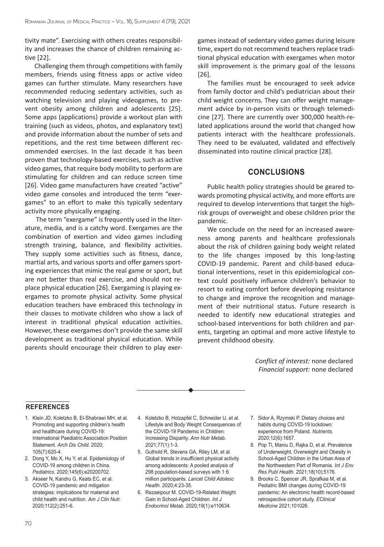tivity mate". Exercising with others creates responsibility and increases the chance of children remaining active [22].

Challenging them through competitions with family members, friends using fitness apps or active video games can further stimulate. Many researchers have recommended reducing sedentary activities, such as watching television and playing videogames, to prevent obesity among children and adolescents [25]. Some apps (applications) provide a workout plan with training (such as videos, photos, and explanatory text) and provide information about the number of sets and repetitions, and the rest time between different recommended exercises. In the last decade it has been proven that technology-based exercises, such as active video games, that require body mobility to perform are stimulating for children and can reduce screen time [26]. Video game manufacturers have created "active" video game consoles and introduced the term "exergames" to an effort to make this typically sedentary activity more physically engaging.

 The term "exergame" is frequently used in the literature, media, and is a catchy word. Exergames are the combination of exertion and video games including strength training, balance, and flexibility activities. They supply some activities such as fitness, dance, martial arts, and various sports and offer gamers sporting experiences that mimic the real game or sport, but are not better than real exercise, and should not replace physical education [26]. Exergaming is playing exergames to promote physical activity. Some physical education teachers have embraced this technology in their classes to motivate children who show a lack of interest in traditional physical education activities. However, these exergames don't provide the same skill development as traditional physical education. While parents should encourage their children to play exergames instead of sedentary video games during leisure time, expert do not recommend teachers replace traditional physical education with exergames when motor skill improvement is the primary goal of the lessons [26].

The families must be encouraged to seek advice from family doctor and child's pediatrician about their child weight concerns. They can offer weight management advice by in-person visits or through telemedicine [27]. There are currently over 300,000 health-related applications around the world that changed how patients interact with the healthcare professionals. They need to be evaluated, validated and effectively disseminated into routine clinical practice [28].

## **CONCLUSIONS**

Public health policy strategies should be geared towards promoting physical activity, and more efforts are required to develop interventions that target the highrisk groups of overweight and obese children prior the pandemic.

We conclude on the need for an increased awareness among parents and healthcare professionals about the risk of children gaining body weight related to the life changes imposed by this long-lasting COVID-19 pandemic. Parent and child-based educational interventions, reset in this epidemiological context could positively influence children's behavior to resort to eating comfort before developing resistance to change and improve the recognition and management of their nutritional status. Future research is needed to identify new educational strategies and school-based interventions for both children and parents, targeting an optimal and more active lifestyle to prevent childhood obesity.

> *Conflict of interest:* none declared *Financial support:* none declared

#### **REFERENCES**

- 1. Klein JD, Koletzko B, El-Shabrawi MH, et al. Promoting and supporting children's health and healthcare during COVID-19: International Paediatric Association Position Statement. *Arch Dis Child.* 2020; 105(7):620-4.
- 2. Dong Y, Mo X, Hu Y, et al. Epidemiology of COVID-19 among children in China. *Pediatrics*. 2020;145(6):e20200702.
- 3. Akseer N, Kandru G, Keats EC, et al. COVID-19 pandemic and mitigation strategies: implications for maternal and child health and nutrition. *Am J Clin Nutr.* 2020;112(2):251-6.
- 4. Koletzko B, Holzapfel C, Schneider U, et al. Lifestyle and Body Weight Consequences of the COVID-19 Pandemic in Children: Increasing Disparity. *Ann Nutr Metab.* 2021;77(1):1-3.
- 5. Guthold R, Stevens GA, Riley LM, et al. Global trends in insufficient physical activity among adolescents: A pooled analysis of 298 population-based surveys with 1·6 million participants. *Lancet Child Adolesc Health.* 2020;4:23-35.
- 6. Rezaeipour M. COVID-19-Related Weight Gain in School-Aged Children. *Int J Endocrinol Metab.* 2020;19(1):e110634.
- 7. Sidor A, Rzymski P. Dietary choices and habits during COVID-19 lockdown: experience from Poland. *Nutrients.* 2020;12(6):1657.
- 8. Pop Tl, Maniu D, Rajka D, et al. Prevalence of Underweight, Overweight and Obesity in School-Aged Children in the Urban Area of the Northwestern Part of Romania. *Int J Env Res Publ Health.* 2021;18(10):5176.
- 9. Brooks C, Spencer JR, Sprafkaa M, et al. Pediatric BMI changes during COVID-19 pandemic: An electronic health record-based retrospective cohort study. *EClinical Medicine* 2021;101026.